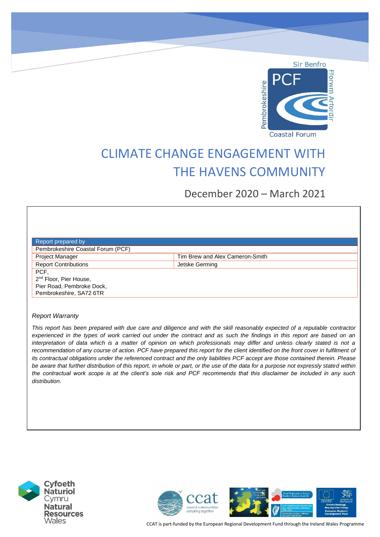

# CLIMATE CHANGE ENGAGEMENT WITH THE HAVENS COMMUNITY

December 2020 – March 2021

| Report prepared by                 |                                 |
|------------------------------------|---------------------------------|
| Pembrokeshire Coastal Forum (PCF)  |                                 |
| Project Manager                    | Tim Brew and Alex Cameron-Smith |
| <b>Report Contributions</b>        | Jetske Germing                  |
| PCF,                               |                                 |
| 2 <sup>nd</sup> Floor, Pier House, |                                 |
| Pier Road, Pembroke Dock,          |                                 |
| Pembrokeshire, SA72 6TR            |                                 |
|                                    |                                 |

#### *Report Warranty*

*This report has been prepared with due care and diligence and with the skill reasonably expected of a reputable contractor experienced in the types of work carried out under the contract and as such the findings in this report are based on an interpretation of data which is a matter of opinion on which professionals may differ and unless clearly stated is not a recommendation of any course of action. PCF have prepared this report for the client identified on the front cover in fulfilment of its contractual obligations under the referenced contract and the only liabilities PCF accept are those contained therein. Please be aware that further distribution of this report, in whole or part, or the use of the data for a purpose not expressly stated within the contractual work scope is at the client's sole risk and PCF recommends that this disclaimer be included in any such distribution.*





CCAT is part-funded by the European Regional Development Fund through the Ireland Wales Programme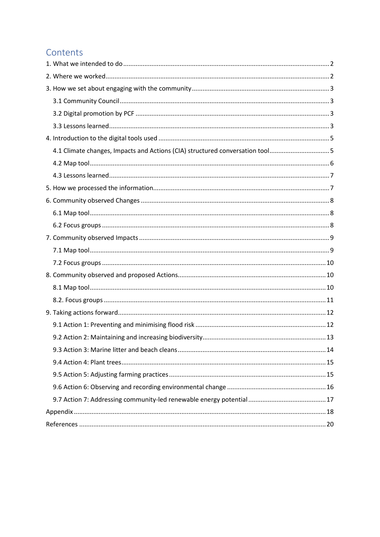# Contents

| 4.1 Climate changes, Impacts and Actions (CIA) structured conversation tool5 |
|------------------------------------------------------------------------------|
|                                                                              |
|                                                                              |
|                                                                              |
|                                                                              |
|                                                                              |
|                                                                              |
|                                                                              |
|                                                                              |
|                                                                              |
|                                                                              |
|                                                                              |
|                                                                              |
|                                                                              |
|                                                                              |
|                                                                              |
|                                                                              |
|                                                                              |
|                                                                              |
|                                                                              |
|                                                                              |
|                                                                              |
|                                                                              |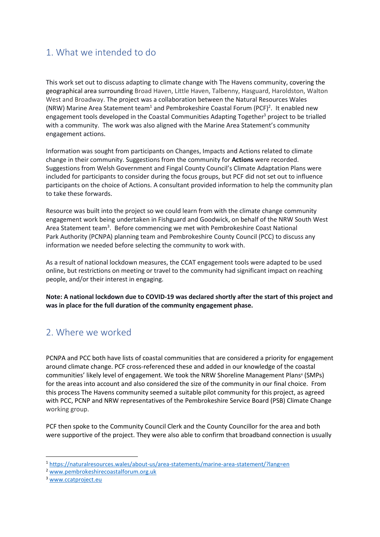# <span id="page-2-0"></span>1. What we intended to do

This work set out to discuss adapting to climate change with The Havens community, covering the geographical area surrounding Broad Haven, Little Haven, Talbenny, Hasguard, Haroldston, Walton West and Broadway. The project was a collaboration between the Natural Resources Wales (NRW) Marine Area Statement team<sup>1</sup> and Pembrokeshire Coastal Forum (PCF)<sup>2</sup>. It enabled new engagement tools developed in the Coastal Communities Adapting Together<sup>3</sup> project to be trialled with a community. The work was also aligned with the Marine Area Statement's community engagement actions.

Information was sought from participants on Changes, Impacts and Actions related to climate change in their community. Suggestions from the community for **Actions** were recorded. Suggestions from Welsh Government and Fingal County Council's Climate Adaptation Plans were included for participants to consider during the focus groups, but PCF did not set out to influence participants on the choice of Actions. A consultant provided information to help the community plan to take these forwards.

Resource was built into the project so we could learn from with the climate change community engagement work being undertaken in Fishguard and Goodwick, on behalf of the NRW South West Area Statement team<sup>3</sup>. Before commencing we met with Pembrokeshire Coast National Park Authority (PCNPA) planning team and Pembrokeshire County Council (PCC) to discuss any information we needed before selecting the community to work with.

As a result of national lockdown measures, the CCAT engagement tools were adapted to be used online, but restrictions on meeting or travel to the community had significant impact on reaching people, and/or their interest in engaging.

**Note: A national lockdown due to COVID-19 was declared shortly after the start of this project and was in place for the full duration of the community engagement phase.** 

# <span id="page-2-1"></span>2. Where we worked

PCNPA and PCC both have lists of coastal communities that are considered a priority for engagement around climate change. PCF cross-referenced these and added in our knowledge of the coastal communities' likely level of engagement. We took the NRW Shoreline Management Plans<sup>4</sup> (SMPs) for the areas into account and also considered the size of the community in our final choice. From this process The Havens community seemed a suitable pilot community for this project, as agreed with PCC, PCNP and NRW representatives of the Pembrokeshire Service Board (PSB) Climate Change working group.

PCF then spoke to the Community Council Clerk and the County Councillor for the area and both were supportive of the project. They were also able to confirm that broadband connection is usually

<sup>1</sup> <https://naturalresources.wales/about-us/area-statements/marine-area-statement/?lang=en>

<sup>2</sup> [www.pembrokeshirecoastalforum.org.uk](http://www.pembrokeshirecoatalforum.org.uk/)

<sup>3</sup> [www.ccatproject.eu](http://www.ccatproject.eu/)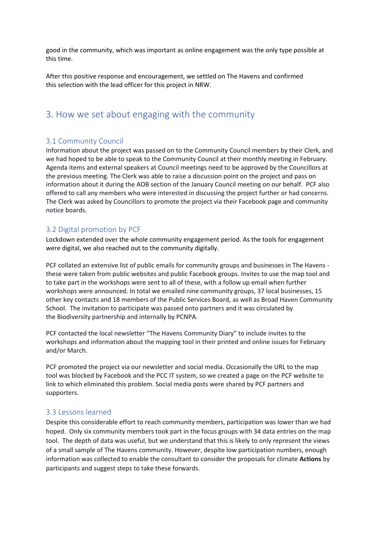good in the community, which was important as online engagement was the only type possible at this time.

After this positive response and encouragement, we settled on The Havens and confirmed this selection with the lead officer for this project in NRW.

# <span id="page-3-0"></span>3. How we set about engaging with the community

# <span id="page-3-1"></span>3.1 Community Council

Information about the project was passed on to the Community Council members by their Clerk, and we had hoped to be able to speak to the Community Council at their monthly meeting in February. Agenda items and external speakers at Council meetings need to be approved by the Councillors at the previous meeting. The Clerk was able to raise a discussion point on the project and pass on information about it during the AOB section of the January Council meeting on our behalf. PCF also offered to call any members who were interested in discussing the project further or had concerns. The Clerk was asked by Councillors to promote the project via their Facebook page and community notice boards.

# <span id="page-3-2"></span>3.2 Digital promotion by PCF

Lockdown extended over the whole community engagement period. As the tools for engagement were digital, we also reached out to the community digitally.

PCF collated an extensive list of public emails for community groups and businesses in The Havens these were taken from public websites and public Facebook groups. Invites to use the map tool and to take part in the workshops were sent to all of these, with a follow up email when further workshops were announced. In total we emailed nine community groups, 37 local businesses, 15 other key contacts and 18 members of the Public Services Board, as well as Broad Haven Community School. The invitation to participate was passed onto partners and it was circulated by the Biodiversity partnership and internally by PCNPA.

PCF contacted the local newsletter "The Havens Community Diary" to include invites to the workshops and information about the mapping tool in their printed and online issues for February and/or March.

PCF promoted the project via our newsletter and social media. Occasionally the URL to the map tool was blocked by Facebook and the PCC IT system, so we created a page on the PCF website to link to which eliminated this problem. Social media posts were shared by PCF partners and supporters.

## <span id="page-3-3"></span>3.3 Lessons learned

Despite this considerable effort to reach community members, participation was lower than we had hoped. Only six community members took part in the focus groups with 34 data entries on the map tool. The depth of data was useful, but we understand that this is likely to only represent the views of a small sample of The Havens community. However, despite low participation numbers, enough information was collected to enable the consultant to consider the proposals for climate **Actions** by participants and suggest steps to take these forwards.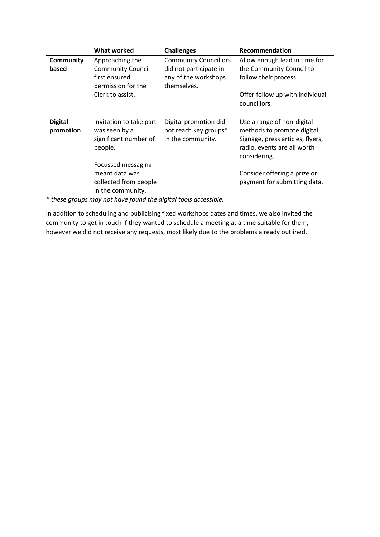|                             | <b>What worked</b>                                                                 | <b>Challenges</b>                                                   | Recommendation                                                                                                                               |
|-----------------------------|------------------------------------------------------------------------------------|---------------------------------------------------------------------|----------------------------------------------------------------------------------------------------------------------------------------------|
| Community<br>based          | Approaching the<br><b>Community Council</b>                                        | <b>Community Councillors</b><br>did not participate in              | Allow enough lead in time for<br>the Community Council to                                                                                    |
|                             | first ensured<br>permission for the                                                | any of the workshops<br>themselves.                                 | follow their process.                                                                                                                        |
|                             | Clerk to assist.                                                                   |                                                                     | Offer follow up with individual<br>councillors.                                                                                              |
| <b>Digital</b><br>promotion | Invitation to take part<br>was seen by a<br>significant number of<br>people.       | Digital promotion did<br>not reach key groups*<br>in the community. | Use a range of non-digital<br>methods to promote digital.<br>Signage, press articles, flyers,<br>radio, events are all worth<br>considering. |
|                             | Focussed messaging<br>meant data was<br>collected from people<br>in the community. |                                                                     | Consider offering a prize or<br>payment for submitting data.                                                                                 |

*\* these groups may not have found the digital tools accessible.*

In addition to scheduling and publicising fixed workshops dates and times, we also invited the community to get in touch if they wanted to schedule a meeting at a time suitable for them, however we did not receive any requests, most likely due to the problems already outlined.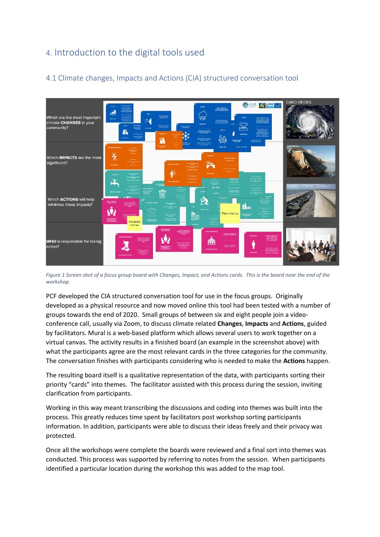# <span id="page-5-0"></span>4. Introduction to the digital tools used



# <span id="page-5-1"></span>4.1 Climate changes, Impacts and Actions (CIA) structured conversation tool

*Figure 1 Screen shot of a focus group board with Changes, Impact, and Actions cards. This is the board near the end of the workshop.*

PCF developed the CIA structured conversation tool for use in the focus groups. Originally developed as a physical resource and now moved online this tool had been tested with a number of groups towards the end of 2020. Small groups of between six and eight people join a videoconference call, usually via Zoom, to discuss climate related **Changes**, **Impacts** and **Actions**, guided by facilitators. Mural is a web-based platform which allows several users to work together on a virtual canvas. The activity results in a finished board (an example in the screenshot above) with what the participants agree are the most relevant cards in the three categories for the community. The conversation finishes with participants considering who is needed to make the **Actions** happen.

The resulting board itself is a qualitative representation of the data, with participants sorting their priority "cards" into themes. The facilitator assisted with this process during the session, inviting clarification from participants.

Working in this way meant transcribing the discussions and coding into themes was built into the process. This greatly reduces time spent by facilitators post workshop sorting participants information. In addition, participants were able to discuss their ideas freely and their privacy was protected.

Once all the workshops were complete the boards were reviewed and a final sort into themes was conducted. This process was supported by referring to notes from the session. When participants identified a particular location during the workshop this was added to the map tool.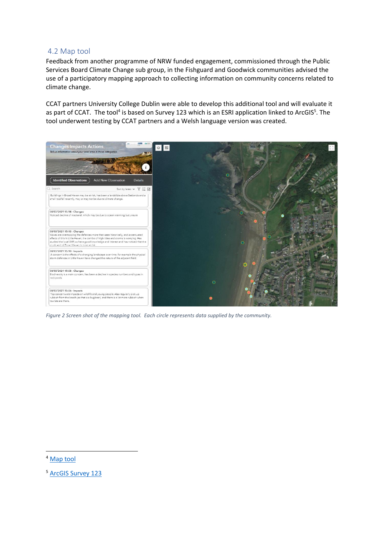### <span id="page-6-0"></span>4.2 Map tool

Feedback from another programme of NRW funded engagement, commissioned through the Public Services Board Climate Change sub group, in the Fishguard and Goodwick communities advised the use of a participatory mapping approach to collecting information on community concerns related to climate change.

CCAT partners University College Dublin were able to develop this additional tool and will evaluate it as part of CCAT. The tool<sup>4</sup> is based on Survey 123 which is an ESRI application linked to ArcGIS<sup>5</sup>. The tool underwent testing by CCAT partners and a Welsh language version was created.



*Figure 2 Screen shot of the mapping tool. Each circle represents data supplied by the community.*

<sup>4</sup> [Map tool](https://experience.arcgis.com/experience/a07930bfc17d4d4aa88934bc3350291c/?data_id=dataSource_2-survey123_7d5fb2f1e3d94b479f27ef6459a8f8cc_stakeholder_2938%3A37)

<sup>5</sup> [ArcGIS Survey 123](https://www.esri.com/en-us/arcgis/products/arcgis-survey123/overview?rmedium=www_esri_com_EtoF&rsource=/en-us/arcgis/products/survey123/overview)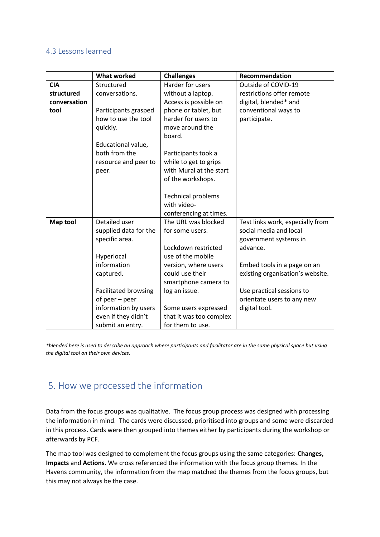### <span id="page-7-0"></span>4.3 Lessons learned

|                 | <b>What worked</b>          | <b>Challenges</b>         | Recommendation                   |
|-----------------|-----------------------------|---------------------------|----------------------------------|
| <b>CIA</b>      | Structured                  | Harder for users          | Outside of COVID-19              |
| structured      | conversations.              | without a laptop.         | restrictions offer remote        |
| conversation    |                             | Access is possible on     | digital, blended* and            |
| tool            | Participants grasped        | phone or tablet, but      | conventional ways to             |
|                 | how to use the tool         | harder for users to       | participate.                     |
|                 | quickly.                    | move around the           |                                  |
|                 |                             | board.                    |                                  |
|                 | Educational value,          |                           |                                  |
|                 | both from the               | Participants took a       |                                  |
|                 | resource and peer to        | while to get to grips     |                                  |
|                 | peer.                       | with Mural at the start   |                                  |
|                 |                             | of the workshops.         |                                  |
|                 |                             |                           |                                  |
|                 |                             | <b>Technical problems</b> |                                  |
|                 |                             | with video-               |                                  |
|                 |                             | conferencing at times.    |                                  |
| <b>Map tool</b> | Detailed user               | The URL was blocked       | Test links work, especially from |
|                 | supplied data for the       | for some users.           | social media and local           |
|                 | specific area.              |                           | government systems in            |
|                 |                             | Lockdown restricted       | advance.                         |
|                 | Hyperlocal                  | use of the mobile         |                                  |
|                 | information                 | version, where users      | Embed tools in a page on an      |
|                 | captured.                   | could use their           | existing organisation's website. |
|                 |                             | smartphone camera to      |                                  |
|                 | <b>Facilitated browsing</b> | log an issue.             | Use practical sessions to        |
|                 | of peer - peer              |                           | orientate users to any new       |
|                 | information by users        | Some users expressed      | digital tool.                    |
|                 | even if they didn't         | that it was too complex   |                                  |
|                 | submit an entry.            | for them to use.          |                                  |

*\*blended here is used to describe an approach where participants and facilitator are in the same physical space but using the digital tool on their own devices.* 

# <span id="page-7-1"></span>5. How we processed the information

Data from the focus groups was qualitative. The focus group process was designed with processing the information in mind. The cards were discussed, prioritised into groups and some were discarded in this process. Cards were then grouped into themes either by participants during the workshop or afterwards by PCF.

The map tool was designed to complement the focus groups using the same categories: **Changes, Impacts** and **Actions**. We cross referenced the information with the focus group themes. In the Havens community, the information from the map matched the themes from the focus groups, but this may not always be the case.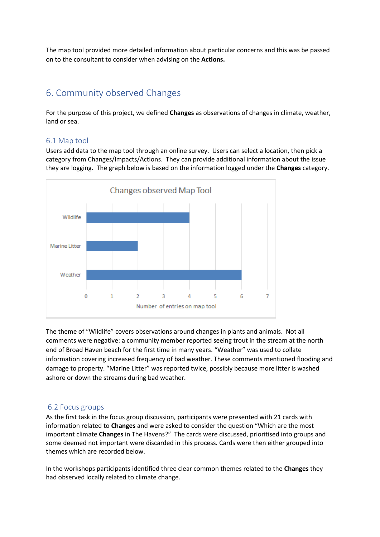The map tool provided more detailed information about particular concerns and this was be passed on to the consultant to consider when advising on the **Actions.**

# <span id="page-8-0"></span>6. Community observed Changes

For the purpose of this project, we defined **Changes** as observations of changes in climate, weather, land or sea.

## <span id="page-8-1"></span>6.1 Map tool

Users add data to the map tool through an online survey. Users can select a location, then pick a category from Changes/Impacts/Actions. They can provide additional information about the issue they are logging. The graph below is based on the information logged under the **Changes** category.



The theme of "Wildlife" covers observations around changes in plants and animals. Not all comments were negative: a community member reported seeing trout in the stream at the north end of Broad Haven beach for the first time in many years. "Weather" was used to collate information covering increased frequency of bad weather. These comments mentioned flooding and damage to property. "Marine Litter" was reported twice, possibly because more litter is washed ashore or down the streams during bad weather.

#### <span id="page-8-2"></span>6.2 Focus groups

As the first task in the focus group discussion, participants were presented with 21 cards with information related to **Changes** and were asked to consider the question "Which are the most important climate **Changes** in The Havens?" The cards were discussed, prioritised into groups and some deemed not important were discarded in this process. Cards were then either grouped into themes which are recorded below.

In the workshops participants identified three clear common themes related to the **Changes** they had observed locally related to climate change.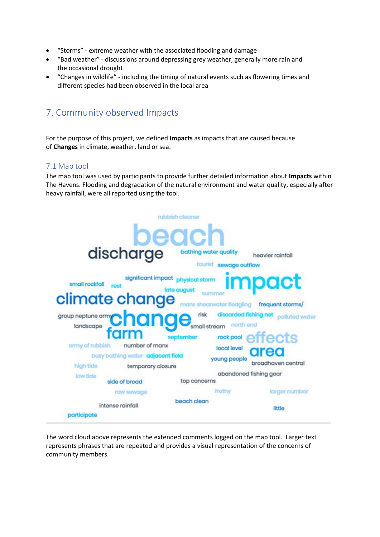- "Storms" extreme weather with the associated flooding and damage
- "Bad weather" discussions around depressing grey weather, generally more rain and the occasional drought
- "Changes in wildlife" including the timing of natural events such as flowering times and different species had been observed in the local area

# <span id="page-9-0"></span>7. Community observed Impacts

For the purpose of this project, we defined **Impacts** as impacts that are caused because of **Changes** in climate, weather, land or sea.

# <span id="page-9-1"></span>7.1 Map tool

The map tool was used by participants to provide further detailed information about **Impacts** within The Havens. Flooding and degradation of the natural environment and water quality, especially after heavy rainfall, were all reported using the tool.



The word cloud above represents the extended comments logged on the map tool. Larger text represents phrases that are repeated and provides a visual representation of the concerns of community members.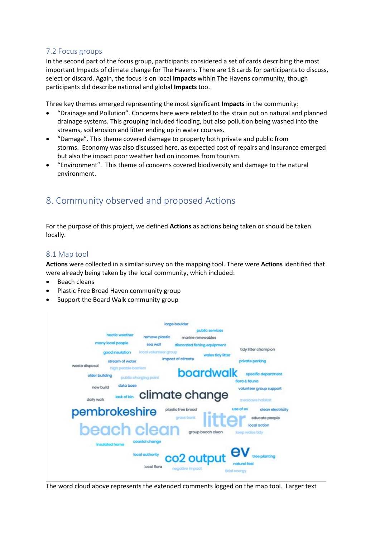# <span id="page-10-0"></span>7.2 Focus groups

In the second part of the focus group, participants considered a set of cards describing the most important Impacts of climate change for The Havens. There are 18 cards for participants to discuss, select or discard. Again, the focus is on local **Impacts** within The Havens community, though participants did describe national and global **Impacts** too.

Three key themes emerged representing the most significant **Impacts** in the community:

- "Drainage and Pollution". Concerns here were related to the strain put on natural and planned drainage systems. This grouping included flooding, but also pollution being washed into the streams, soil erosion and litter ending up in water courses.
- "Damage". This theme covered damage to property both private and public from storms. Economy was also discussed here, as expected cost of repairs and insurance emerged but also the impact poor weather had on incomes from tourism.
- "Environment". This theme of concerns covered biodiversity and damage to the natural environment.

# <span id="page-10-1"></span>8. Community observed and proposed Actions

For the purpose of this project, we defined **Actions** as actions being taken or should be taken locally.

# <span id="page-10-2"></span>8.1 Map tool

**Actions** were collected in a similar survey on the mapping tool. There were **Actions** identified that were already being taken by the local community, which included:

- Beach cleans
- Plastic Free Broad Haven community group
- Support the Board Walk community group



The word cloud above represents the extended comments logged on the map tool. Larger text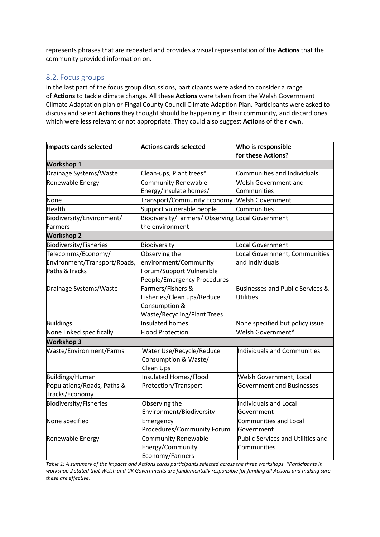represents phrases that are repeated and provides a visual representation of the **Actions** that the community provided information on.

# <span id="page-11-0"></span>8.2. Focus groups

In the last part of the focus group discussions, participants were asked to consider a range of **Actions** to tackle climate change. All these **Actions** were taken from the Welsh Government Climate Adaptation plan or Fingal County Council Climate Adaption Plan. Participants were asked to discuss and select **Actions** they thought should be happening in their community, and discard ones which were less relevant or not appropriate. They could also suggest **Actions** of their own.

| Impacts cards selected        | <b>Actions cards selected</b>                    | Who is responsible                 |  |
|-------------------------------|--------------------------------------------------|------------------------------------|--|
|                               |                                                  | for these Actions?                 |  |
| <b>Workshop 1</b>             |                                                  |                                    |  |
| Drainage Systems/Waste        | Clean-ups, Plant trees*                          | Communities and Individuals        |  |
| Renewable Energy              | Community Renewable                              | Welsh Government and               |  |
|                               | Energy/Insulate homes/                           | Communities                        |  |
| None                          | Transport/Community Economy Welsh Government     |                                    |  |
| Health                        | Support vulnerable people                        | Communities                        |  |
| Biodiversity/Environment/     | Biodiversity/Farmers/ Observing Local Government |                                    |  |
| <b>Farmers</b>                | the environment                                  |                                    |  |
| <b>Workshop 2</b>             |                                                  |                                    |  |
| <b>Biodiversity/Fisheries</b> | Biodiversity                                     | Local Government                   |  |
| Telecomms/Economy/            | Observing the                                    | Local Government, Communities      |  |
| Environment/Transport/Roads,  | environment/Community                            | and Individuals                    |  |
| Paths & Tracks                | Forum/Support Vulnerable                         |                                    |  |
|                               | People/Emergency Procedures                      |                                    |  |
| Drainage Systems/Waste        | Farmers/Fishers &                                | Businesses and Public Services &   |  |
|                               | Fisheries/Clean ups/Reduce                       | Utilities                          |  |
|                               | Consumption &                                    |                                    |  |
|                               | <b>Waste/Recycling/Plant Trees</b>               |                                    |  |
| <b>Buildings</b>              | <b>Insulated homes</b>                           | None specified but policy issue    |  |
| None linked specifically      | <b>Flood Protection</b>                          | Welsh Government*                  |  |
| <b>Workshop 3</b>             |                                                  |                                    |  |
| Waste/Environment/Farms       | Water Use/Recycle/Reduce                         | <b>Individuals and Communities</b> |  |
|                               | Consumption & Waste/                             |                                    |  |
|                               | Clean Ups                                        |                                    |  |
| Buildings/Human               | Insulated Homes/Flood                            | Welsh Government, Local            |  |
| Populations/Roads, Paths &    | Protection/Transport                             | <b>Government and Businesses</b>   |  |
| Tracks/Economy                |                                                  |                                    |  |
| Biodiversity/Fisheries        | Observing the                                    | Individuals and Local              |  |
|                               | Environment/Biodiversity                         | Government                         |  |
| None specified                | Emergency                                        | <b>Communities and Local</b>       |  |
|                               | Procedures/Community Forum                       | Government                         |  |
| Renewable Energy              | Community Renewable                              | Public Services and Utilities and  |  |
|                               | Energy/Community                                 | Communities                        |  |
|                               | Economy/Farmers                                  |                                    |  |

*Table 1: A summary of the Impacts and Actions cards participants selected across the three workshops. \*Participants in workshop 2 stated that Welsh and UK Governments are fundamentally responsible for funding all Actions and making sure these are effective.*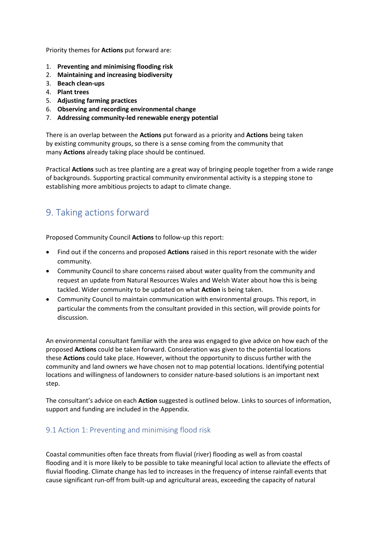Priority themes for **Actions** put forward are:

- 1. **Preventing and minimising flooding risk**
- 2. **Maintaining and increasing biodiversity**
- 3. **Beach clean-ups**
- 4. **Plant trees**
- 5. **Adjusting farming practices**
- 6. **Observing and recording environmental change**
- 7. **Addressing community-led renewable energy potential**

There is an overlap between the **Actions** put forward as a priority and **Actions** being taken by existing community groups, so there is a sense coming from the community that many **Actions** already taking place should be continued.

Practical **Actions** such as tree planting are a great way of bringing people together from a wide range of backgrounds. Supporting practical community environmental activity is a stepping stone to establishing more ambitious projects to adapt to climate change.

# <span id="page-12-0"></span>9. Taking actions forward

Proposed Community Council **Actions** to follow-up this report:

- Find out if the concerns and proposed **Actions** raised in this report resonate with the wider community.
- Community Council to share concerns raised about water quality from the community and request an update from Natural Resources Wales and Welsh Water about how this is being tackled. Wider community to be updated on what **Action** is being taken.
- Community Council to maintain communication with environmental groups. This report, in particular the comments from the consultant provided in this section, will provide points for discussion.

An environmental consultant familiar with the area was engaged to give advice on how each of the proposed **Actions** could be taken forward. Consideration was given to the potential locations these **Actions** could take place. However, without the opportunity to discuss further with the community and land owners we have chosen not to map potential locations. Identifying potential locations and willingness of landowners to consider nature-based solutions is an important next step.

The consultant's advice on each **Action** suggested is outlined below. Links to sources of information, support and funding are included in the Appendix.

# <span id="page-12-1"></span>9.1 Action 1: Preventing and minimising flood risk

Coastal communities often face threats from fluvial (river) flooding as well as from coastal flooding and it is more likely to be possible to take meaningful local action to alleviate the effects of fluvial flooding. Climate change has led to increases in the frequency of intense rainfall events that cause significant run-off from built-up and agricultural areas, exceeding the capacity of natural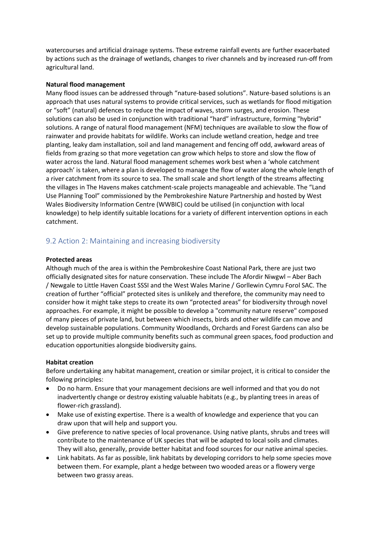watercourses and artificial drainage systems. These extreme rainfall events are further exacerbated by actions such as the drainage of wetlands, changes to river channels and by increased run-off from agricultural land.

#### **Natural flood management**

Many flood issues can be addressed through "nature-based solutions". Nature-based solutions is an approach that uses natural systems to provide critical services, such as wetlands for flood mitigation or "soft" (natural) defences to reduce the impact of waves, storm surges, and erosion. These solutions can also be used in conjunction with traditional "hard" infrastructure, forming "hybrid" solutions. A range of natural flood management (NFM) techniques are available to slow the flow of rainwater and provide habitats for wildlife. Works can include wetland creation, hedge and tree planting, leaky dam installation, soil and land management and fencing off odd, awkward areas of fields from grazing so that more vegetation can grow which helps to store and slow the flow of water across the land. Natural flood management schemes work best when a 'whole catchment approach' is taken, where a plan is developed to manage the flow of water along the whole length of a river catchment from its source to sea. The small scale and short length of the streams affecting the villages in The Havens makes catchment-scale projects manageable and achievable. The "Land Use Planning Tool" commissioned by the Pembrokeshire Nature Partnership and hosted by West Wales Biodiversity Information Centre (WWBIC) could be utilised (in conjunction with local knowledge) to help identify suitable locations for a variety of different intervention options in each catchment.

# <span id="page-13-0"></span>9.2 Action 2: Maintaining and increasing biodiversity

#### **Protected areas**

Although much of the area is within the Pembrokeshire Coast National Park, there are just two officially designated sites for nature conservation. These include The Afordir Niwgwl – Aber Bach / Newgale to Little Haven Coast SSSI and the West Wales Marine / Gorllewin Cymru Forol SAC. The creation of further "official" protected sites is unlikely and therefore, the community may need to consider how it might take steps to create its own "protected areas" for biodiversity through novel approaches. For example, it might be possible to develop a "community nature reserve" composed of many pieces of private land, but between which insects, birds and other wildlife can move and develop sustainable populations. Community Woodlands, Orchards and Forest Gardens can also be set up to provide multiple community benefits such as communal green spaces, food production and education opportunities alongside biodiversity gains.

#### **Habitat creation**

Before undertaking any habitat management, creation or similar project, it is critical to consider the following principles:

- Do no harm. Ensure that your management decisions are well informed and that you do not inadvertently change or destroy existing valuable habitats (e.g., by planting trees in areas of flower-rich grassland).
- Make use of existing expertise. There is a wealth of knowledge and experience that you can draw upon that will help and support you.
- Give preference to native species of local provenance. Using native plants, shrubs and trees will contribute to the maintenance of UK species that will be adapted to local soils and climates. They will also, generally, provide better habitat and food sources for our native animal species.
- Link habitats. As far as possible, link habitats by developing corridors to help some species move between them. For example, plant a hedge between two wooded areas or a flowery verge between two grassy areas.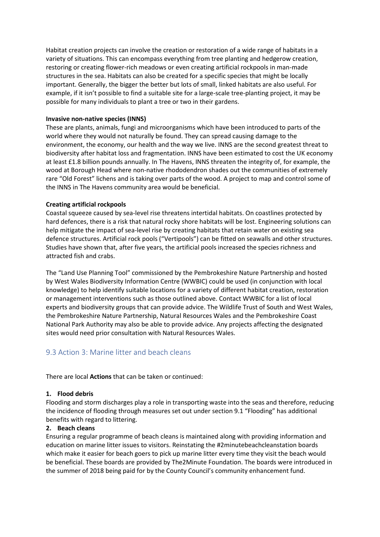Habitat creation projects can involve the creation or restoration of a wide range of habitats in a variety of situations. This can encompass everything from tree planting and hedgerow creation, restoring or creating flower-rich meadows or even creating artificial rockpools in man-made structures in the sea. Habitats can also be created for a specific species that might be locally important. Generally, the bigger the better but lots of small, linked habitats are also useful. For example, if it isn't possible to find a suitable site for a large-scale tree-planting project, it may be possible for many individuals to plant a tree or two in their gardens.

#### **Invasive non-native species (INNS)**

These are plants, animals, fungi and microorganisms which have been introduced to parts of the world where they would not naturally be found. They can spread causing damage to the environment, the economy, our health and the way we live. INNS are the second greatest threat to biodiversity after habitat loss and fragmentation. INNS have been estimated to cost the UK economy at least £1.8 billion pounds annually. In The Havens, INNS threaten the integrity of, for example, the wood at Borough Head where non-native rhododendron shades out the communities of extremely rare "Old Forest" lichens and is taking over parts of the wood. A project to map and control some of the INNS in The Havens community area would be beneficial.

### **Creating artificial rockpools**

Coastal squeeze caused by sea-level rise threatens intertidal habitats. On coastlines protected by hard defences, there is a risk that natural rocky shore habitats will be lost. Engineering solutions can help mitigate the impact of sea-level rise by creating habitats that retain water on existing sea defence structures. Artificial rock pools ("Vertipools") can be fitted on seawalls and other structures. Studies have shown that, after five years, the artificial pools increased the species richness and attracted fish and crabs.

The "Land Use Planning Tool" commissioned by the Pembrokeshire Nature Partnership and hosted by West Wales Biodiversity Information Centre (WWBIC) could be used (in conjunction with local knowledge) to help identify suitable locations for a variety of different habitat creation, restoration or management interventions such as those outlined above. Contact WWBIC for a list of local experts and biodiversity groups that can provide advice. The Wildlife Trust of South and West Wales, the Pembrokeshire Nature Partnership, Natural Resources Wales and the Pembrokeshire Coast National Park Authority may also be able to provide advice. Any projects affecting the designated sites would need prior consultation with Natural Resources Wales.

# <span id="page-14-0"></span>9.3 Action 3: Marine litter and beach cleans

There are local **Actions** that can be taken or continued:

#### **1. Flood debris**

Flooding and storm discharges play a role in transporting waste into the seas and therefore, reducing the incidence of flooding through measures set out under section 9.1 "Flooding" has additional benefits with regard to littering.

#### **2. Beach cleans**

Ensuring a regular programme of beach cleans is maintained along with providing information and education on marine litter issues to visitors. Reinstating the #2minutebeachcleanstation boards which make it easier for beach goers to pick up marine litter every time they visit the beach would be beneficial. These boards are provided by The2Minute Foundation. The boards were introduced in the summer of 2018 being paid for by the County Council's community enhancement fund.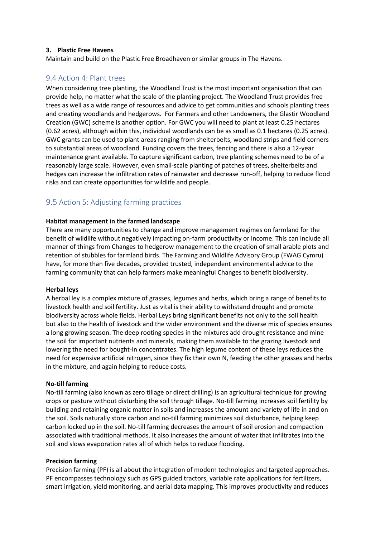#### **3. Plastic Free Havens**

Maintain and build on the Plastic Free Broadhaven or similar groups in The Havens.

### <span id="page-15-0"></span>9.4 Action 4: Plant trees

When considering tree planting, the Woodland Trust is the most important organisation that can provide help, no matter what the scale of the planting project. The Woodland Trust provides free trees as well as a wide range of resources and advice to get communities and schools planting trees and creating woodlands and hedgerows. For Farmers and other Landowners, the Glastir Woodland Creation (GWC) scheme is another option. For GWC you will need to plant at least 0.25 hectares (0.62 acres), although within this, individual woodlands can be as small as 0.1 hectares (0.25 acres). GWC grants can be used to plant areas ranging from shelterbelts, woodland strips and field corners to substantial areas of woodland. Funding covers the trees, fencing and there is also a 12-year maintenance grant available. To capture significant carbon, tree planting schemes need to be of a reasonably large scale. However, even small-scale planting of patches of trees, shelterbelts and hedges can increase the infiltration rates of rainwater and decrease run-off, helping to reduce flood risks and can create opportunities for wildlife and people.

# <span id="page-15-1"></span>9.5 Action 5: Adjusting farming practices

#### **Habitat management in the farmed landscape**

There are many opportunities to change and improve management regimes on farmland for the benefit of wildlife without negatively impacting on-farm productivity or income. This can include all manner of things from Changes to hedgerow management to the creation of small arable plots and retention of stubbles for farmland birds. The Farming and Wildlife Advisory Group (FWAG Cymru) have, for more than five decades, provided trusted, independent environmental advice to the farming community that can help farmers make meaningful Changes to benefit biodiversity.

#### **Herbal leys**

A herbal ley is a complex mixture of grasses, legumes and herbs, which bring a range of benefits to livestock health and soil fertility. Just as vital is their ability to withstand drought and promote biodiversity across whole fields. Herbal Leys bring significant benefits not only to the soil health but also to the health of livestock and the wider environment and the diverse mix of species ensures a long growing season. The deep rooting species in the mixtures add drought resistance and mine the soil for important nutrients and minerals, making them available to the grazing livestock and lowering the need for bought-in concentrates. The high legume content of these leys reduces the need for expensive artificial nitrogen, since they fix their own N, feeding the other grasses and herbs in the mixture, and again helping to reduce costs.

#### **No-till farming**

No-till farming (also known as zero tillage or direct drilling) is an agricultural technique for growing crops or pasture without disturbing the soil through tillage. No-till farming increases soil fertility by building and retaining organic matter in soils and increases the amount and variety of life in and on the soil. Soils naturally store carbon and no-till farming minimizes soil disturbance, helping keep carbon locked up in the soil. No-till farming decreases the amount of soil erosion and compaction associated with traditional methods. It also increases the amount of water that infiltrates into the soil and slows evaporation rates all of which helps to reduce flooding.

#### **Precision farming**

Precision farming (PF) is all about the integration of modern technologies and targeted approaches. PF encompasses technology such as GPS guided tractors, variable rate applications for fertilizers, smart irrigation, yield monitoring, and aerial data mapping. This improves productivity and reduces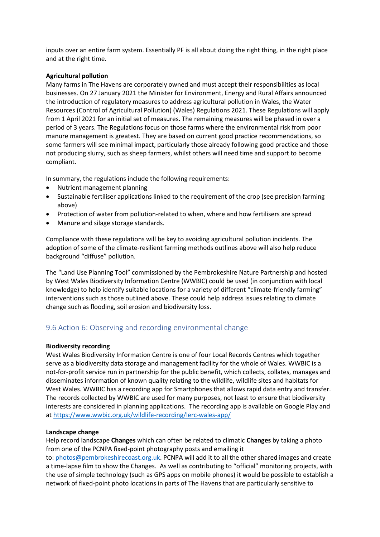inputs over an entire farm system. Essentially PF is all about doing the right thing, in the right place and at the right time.

#### **Agricultural pollution**

Many farms in The Havens are corporately owned and must accept their responsibilities as local businesses. On 27 January 2021 the Minister for Environment, Energy and Rural Affairs announced the introduction of regulatory measures to address agricultural pollution in Wales, the Water Resources (Control of Agricultural Pollution) (Wales) Regulations 2021. These Regulations will apply from 1 April 2021 for an initial set of measures. The remaining measures will be phased in over a period of 3 years. The Regulations focus on those farms where the environmental risk from poor manure management is greatest. They are based on current good practice recommendations, so some farmers will see minimal impact, particularly those already following good practice and those not producing slurry, such as sheep farmers, whilst others will need time and support to become compliant.

In summary, the regulations include the following requirements:

- Nutrient management planning
- Sustainable fertiliser applications linked to the requirement of the crop (see precision farming above)
- Protection of water from pollution-related to when, where and how fertilisers are spread
- Manure and silage storage standards.

Compliance with these regulations will be key to avoiding agricultural pollution incidents. The adoption of some of the climate-resilient farming methods outlines above will also help reduce background "diffuse" pollution.

The "Land Use Planning Tool" commissioned by the Pembrokeshire Nature Partnership and hosted by West Wales Biodiversity Information Centre (WWBIC) could be used (in conjunction with local knowledge) to help identify suitable locations for a variety of different "climate-friendly farming" interventions such as those outlined above. These could help address issues relating to climate change such as flooding, soil erosion and biodiversity loss.

## <span id="page-16-0"></span>9.6 Action 6: Observing and recording environmental change

#### **Biodiversity recording**

West Wales Biodiversity Information Centre is one of four Local Records Centres which together serve as a biodiversity data storage and management facility for the whole of Wales. WWBIC is a not-for-profit service run in partnership for the public benefit, which collects, collates, manages and disseminates information of known quality relating to the wildlife, wildlife sites and habitats for West Wales. WWBIC has a recording app for Smartphones that allows rapid data entry and transfer. The records collected by WWBIC are used for many purposes, not least to ensure that biodiversity interests are considered in planning applications. The recording app is available on Google Play and at <https://www.wwbic.org.uk/wildlife-recording/lerc-wales-app/>

#### **Landscape change**

Help record landscape **Changes** which can often be related to climatic **Changes** by taking a photo from one of the PCNPA fixed-point photography posts and emailing it to: [photos@pembrokeshirecoast.org.uk.](mailto:photos@pembrokeshirecoast.org.uk) PCNPA will add it to all the other shared images and create a time-lapse film to show the Changes. As well as contributing to "official" monitoring projects, with the use of simple technology (such as GPS apps on mobile phones) it would be possible to establish a network of fixed-point photo locations in parts of The Havens that are particularly sensitive to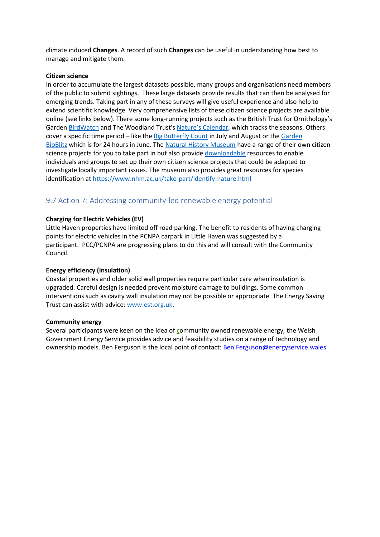climate induced **Changes**. A record of such **Changes** can be useful in understanding how best to manage and mitigate them.

#### **Citizen science**

In order to accumulate the largest datasets possible, many groups and organisations need members of the public to submit sightings. These large datasets provide results that can then be analysed for emerging trends. Taking part in any of these surveys will give useful experience and also help to extend scientific knowledge. Very comprehensive lists of these citizen science projects are available online (see links below). There some long-running projects such as the British Trust for Ornithology's Garden [BirdWatch](http://www.bto.org/volunteer-surveys/gbw) and The Woodland Trust's [Nature's Calendar](http://www.naturescalendar.org.uk/), which tracks the seasons. Others cover a specific time period – like the [Big Butterfly Count](http://www.bigbutterflycount.org/) in July and August or the [Garden](http://www.gardenbioblitz.org/)  [BioBlitz](http://www.gardenbioblitz.org/) which is for 24 hours in June. The [Natural History Museum](http://www.nhm.ac.uk/take-part/citizen-science.html) have a range of their own citizen science projects for you to take part in but also provide [downloadable](https://www.nhm.ac.uk/content/dam/nhmwww/take-part/Citizenscience/citizen-science-guide.pdf) resources to enable individuals and groups to set up their own citizen science projects that could be adapted to investigate locally important issues. The museum also provides great resources for species identification at <https://www.nhm.ac.uk/take-part/identify-nature.html>

# <span id="page-17-0"></span>9.7 Action 7: Addressing community-led renewable energy potential

#### **Charging for Electric Vehicles (EV)**

Little Haven properties have limited off road parking. The benefit to residents of having charging points for electric vehicles in the PCNPA carpark in Little Haven was suggested by a participant. PCC/PCNPA are progressing plans to do this and will consult with the Community Council.

#### **Energy efficiency (insulation)**

Coastal properties and older solid wall properties require particular care when insulation is upgraded. Careful design is needed prevent moisture damage to buildings. Some common interventions such as cavity wall insulation may not be possible or appropriate. The Energy Saving Trust can assist with advice: [www.est.org.uk.](http://www.est.org.uk/)

#### **Community energy**

Several participants were keen on the idea of community owned renewable energy, the Welsh Government Energy Service provides advice and feasibility studies on a range of technology and ownership models. Ben Ferguson is the local point of contact: [Ben.Ferguson@energyservice.wales](mailto:Ben.Ferguson@energyservice.wales)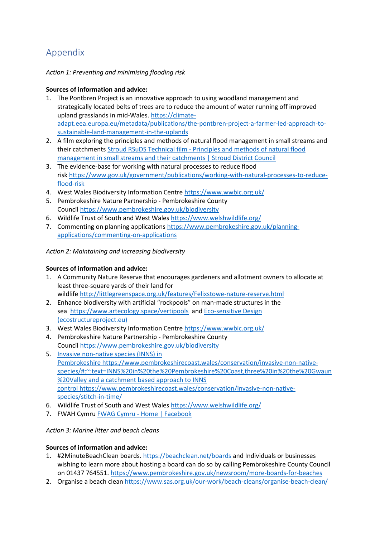# <span id="page-18-0"></span>Appendix

# *Action 1: Preventing and minimising flooding risk*

# **Sources of information and advice:**

- 1. The Pontbren Project is an innovative approach to using woodland management and strategically located belts of trees are to reduce the amount of water running off improved upland grasslands in mid-Wales. [https://climate](https://climate-adapt.eea.europa.eu/metadata/publications/the-pontbren-project-a-farmer-led-approach-to-sustainable-land-management-in-the-uplands)[adapt.eea.europa.eu/metadata/publications/the-pontbren-project-a-farmer-led-approach-to](https://climate-adapt.eea.europa.eu/metadata/publications/the-pontbren-project-a-farmer-led-approach-to-sustainable-land-management-in-the-uplands)[sustainable-land-management-in-the-uplands](https://climate-adapt.eea.europa.eu/metadata/publications/the-pontbren-project-a-farmer-led-approach-to-sustainable-land-management-in-the-uplands)
- 2. A film exploring the principles and methods of natural flood management in small streams and their catchments Stroud RSuDS Technical film - [Principles and methods of natural flood](https://www.stroud.gov.uk/nfmtechnicalfilm)  [management in small streams and their catchments | Stroud District Council](https://www.stroud.gov.uk/nfmtechnicalfilm)
- 3. The evidence-base for working with natural processes to reduce flood risk [https://www.gov.uk/government/publications/working-with-natural-processes-to-reduce](https://www.gov.uk/government/publications/working-with-natural-processes-to-reduce-flood-risk)[flood-risk](https://www.gov.uk/government/publications/working-with-natural-processes-to-reduce-flood-risk)
- 4. West Wales Biodiversity Information Centre <https://www.wwbic.org.uk/>
- 5. Pembrokeshire Nature Partnership Pembrokeshire County Council <https://www.pembrokeshire.gov.uk/biodiversity>
- 6. Wildlife Trust of South and West Wales <https://www.welshwildlife.org/>
- 7. Commenting on planning applications [https://www.pembrokeshire.gov.uk/planning](https://www.pembrokeshire.gov.uk/planning-applications/commenting-on-applications)[applications/commenting-on-applications](https://www.pembrokeshire.gov.uk/planning-applications/commenting-on-applications)

# *Action 2: Maintaining and increasing biodiversity*

# **Sources of information and advice:**

- 1. A Community Nature Reserve that encourages gardeners and allotment owners to allocate at least three-square yards of their land for wildlife <http://littlegreenspace.org.uk/features/Felixstowe-nature-reserve.html>
- 2. Enhance biodiversity with artificial "rockpools" on man-made structures in the sea <https://www.artecology.space/vertipools> and [Eco-sensitive Design](https://observatory.ecostructureproject.eu/projects/ecosensitive-design/)  [\(ecostructureproject.eu\)](https://observatory.ecostructureproject.eu/projects/ecosensitive-design/)
- 3. West Wales Biodiversity Information Centre <https://www.wwbic.org.uk/>
- 4. Pembrokeshire Nature Partnership Pembrokeshire County Council <https://www.pembrokeshire.gov.uk/biodiversity>
- 5. Invasive non-native species (INNS) in Pembrokeshire [https://www.pembrokeshirecoast.wales/conservation/invasive-non-native](https://www.pembrokeshirecoast.wales/conservation/invasive-non-native-species/#:~:text=INNS%20in%20the%20Pembrokeshire%20Coast,three%20in%20the%20Gwaun%20Valley)[species/#:~:text=INNS%20in%20the%20Pembrokeshire%20Coast,three%20in%20the%20Gwaun](https://www.pembrokeshirecoast.wales/conservation/invasive-non-native-species/#:~:text=INNS%20in%20the%20Pembrokeshire%20Coast,three%20in%20the%20Gwaun%20Valley) [%20Valley](https://www.pembrokeshirecoast.wales/conservation/invasive-non-native-species/#:~:text=INNS%20in%20the%20Pembrokeshire%20Coast,three%20in%20the%20Gwaun%20Valley) and a catchment based approach to INNS control [https://www.pembrokeshirecoast.wales/conservation/invasive-non-native](https://www.pembrokeshirecoast.wales/conservation/invasive-non-native-species/stitch-in-time/)[species/stitch-in-time/](https://www.pembrokeshirecoast.wales/conservation/invasive-non-native-species/stitch-in-time/)
- 6. Wildlife Trust of South and West Wales <https://www.welshwildlife.org/>
- 7. FWAH Cymru **FWAG Cymru [Home | Facebook](https://www.facebook.com/FWAGCymru/)**

## *Action 3: Marine litter and beach cleans*

## **Sources of information and advice:**

- 1. #2MinuteBeachClean boards. <https://beachclean.net/boards> and Individuals or businesses wishing to learn more about hosting a board can do so by calling Pembrokeshire County Council on 01437 764551. <https://www.pembrokeshire.gov.uk/newsroom/more-boards-for-beaches>
- 2. Organise a beach clean <https://www.sas.org.uk/our-work/beach-cleans/organise-beach-clean/>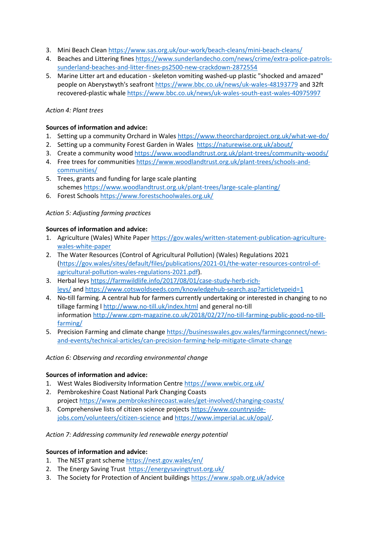- 3. Mini Beach Clean <https://www.sas.org.uk/our-work/beach-cleans/mini-beach-cleans/>
- 4. Beaches and Littering fines [https://www.sunderlandecho.com/news/crime/extra-police-patrols](https://www.sunderlandecho.com/news/crime/extra-police-patrols-sunderland-beaches-and-litter-fines-ps2500-new-crackdown-2872554)[sunderland-beaches-and-litter-fines-ps2500-new-crackdown-2872554](https://www.sunderlandecho.com/news/crime/extra-police-patrols-sunderland-beaches-and-litter-fines-ps2500-new-crackdown-2872554)
- 5. Marine Litter art and education skeleton vomiting washed-up plastic "shocked and amazed" people on Aberystwyth's seafront <https://www.bbc.co.uk/news/uk-wales-48193779> and 32ft recovered-plastic whale <https://www.bbc.co.uk/news/uk-wales-south-east-wales-40975997>

### *Action 4: Plant trees*

### **Sources of information and advice:**

- 1. Setting up a community Orchard in Wales <https://www.theorchardproject.org.uk/what-we-do/>
- 2. Setting up a community Forest Garden in Wales <https://naturewise.org.uk/about/>
- 3. Create a community wood <https://www.woodlandtrust.org.uk/plant-trees/community-woods/>
- 4. Free trees for communities [https://www.woodlandtrust.org.uk/plant-trees/schools-and](https://www.woodlandtrust.org.uk/plant-trees/schools-and-communities/)[communities/](https://www.woodlandtrust.org.uk/plant-trees/schools-and-communities/)
- 5. Trees, grants and funding for large scale planting schemes <https://www.woodlandtrust.org.uk/plant-trees/large-scale-planting/>
- 6. Forest Schools <https://www.forestschoolwales.org.uk/>

### *Action 5: Adjusting farming practices*

### **Sources of information and advice:**

- 1. Agriculture (Wales) White Paper [https://gov.wales/written-statement-publication-agriculture](https://gov.wales/written-statement-publication-agriculture-wales-white-paper)[wales-white-paper](https://gov.wales/written-statement-publication-agriculture-wales-white-paper)
- 2. The Water Resources (Control of Agricultural Pollution) (Wales) Regulations 2021 [\(https://gov.wales/sites/default/files/publications/2021-01/the-water-resources-control-of](https://gov.wales/sites/default/files/publications/2021-01/the-water-resources-control-of-agricultural-pollution-wales-regulations-2021.pdf)[agricultural-pollution-wales-regulations-2021.pdf\)](https://gov.wales/sites/default/files/publications/2021-01/the-water-resources-control-of-agricultural-pollution-wales-regulations-2021.pdf).
- 3. Herbal leys [https://farmwildlife.info/2017/08/01/case-study-herb-rich](https://farmwildlife.info/2017/08/01/case-study-herb-rich-leys/)[leys/](https://farmwildlife.info/2017/08/01/case-study-herb-rich-leys/) and <https://www.cotswoldseeds.com/knowledgehub-search.asp?articletypeid=1>
- 4. No-till farming. A central hub for farmers currently undertaking or interested in changing to no tillage farming l <http://www.no-till.uk/index.html> and general no-till information [http://www.cpm-magazine.co.uk/2018/02/27/no-till-farming-public-good-no-till](http://www.cpm-magazine.co.uk/2018/02/27/no-till-farming-public-good-no-till-farming/)[farming/](http://www.cpm-magazine.co.uk/2018/02/27/no-till-farming-public-good-no-till-farming/)
- 5. Precision Farming and climate change [https://businesswales.gov.wales/farmingconnect/news](https://businesswales.gov.wales/farmingconnect/news-and-events/technical-articles/can-precision-farming-help-mitigate-climate-change)[and-events/technical-articles/can-precision-farming-help-mitigate-climate-change](https://businesswales.gov.wales/farmingconnect/news-and-events/technical-articles/can-precision-farming-help-mitigate-climate-change)

#### *Action 6: Observing and recording environmental change*

### **Sources of information and advice:**

- 1. West Wales Biodiversity Information Centre <https://www.wwbic.org.uk/>
- 2. Pembrokeshire Coast National Park Changing Coasts project <https://www.pembrokeshirecoast.wales/get-involved/changing-coasts/>
- 3. Comprehensive lists of citizen science projects [https://www.countryside](https://www.countryside-jobs.com/volunteers/citizen-science)[jobs.com/volunteers/citizen-science](https://www.countryside-jobs.com/volunteers/citizen-science) and [https://www.imperial.ac.uk/opal/.](https://www.imperial.ac.uk/opal/)

#### *Action 7: Addressing community led renewable energy potential*

#### **Sources of information and advice:**

- 1. The NEST grant scheme <https://nest.gov.wales/en/>
- 2. The Energy Saving Trust<https://energysavingtrust.org.uk/>
- 3. The Society for Protection of Ancient buildings <https://www.spab.org.uk/advice>